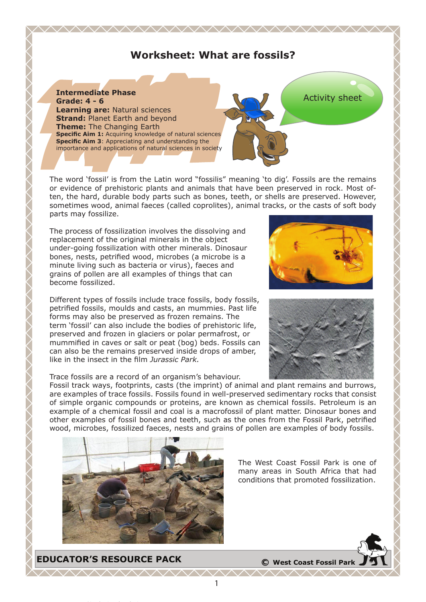## **Worksheet: What are fossils?**

<u> WWW.WWW.WWW.WWW.WWW</u>



The word 'fossil' is from the Latin word "fossilis" meaning 'to dig'. Fossils are the remains or evidence of prehistoric plants and animals that have been preserved in rock. Most often, the hard, durable body parts such as bones, teeth, or shells are preserved. However, sometimes wood, animal faeces (called coprolites), animal tracks, or the casts of soft body parts may fossilize.

The process of fossilization involves the dissolving and replacement of the original minerals in the object under-going fossilization with other minerals. Dinosaur bones, nests, petrified wood, microbes (a microbe is a minute living such as bacteria or virus), faeces and grains of pollen are all examples of things that can become fossilized.

Different types of fossils include trace fossils, body fossils, petrified fossils, moulds and casts, an mummies. Past life forms may also be preserved as frozen remains. The term 'fossil' can also include the bodies of prehistoric life, preserved and frozen in glaciers or polar permafrost, or mummified in caves or salt or peat (bog) beds. Fossils can can also be the remains preserved inside drops of amber, like in the insect in the film *Jurassic Park.*

Trace fossils are a record of an organism's behaviour.

Fossil track ways, footprints, casts (the imprint) of animal and plant remains and burrows, are examples of trace fossils. Fossils found in well-preserved sedimentary rocks that consist of simple organic compounds or proteins, are known as chemical fossils. Petroleum is an example of a chemical fossil and coal is a macrofossil of plant matter. Dinosaur bones and other examples of fossil bones and teeth, such as the ones from the Fossil Park, petrified wood, microbes, fossilized faeces, nests and grains of pollen are examples of body fossils.



The West Coast Fossil Park is one of many areas in South Africa that had conditions that promoted fossilization.

**EDUCATOR'S RESOURCE PACK <sup>C</sup> West Coast Fossil Park**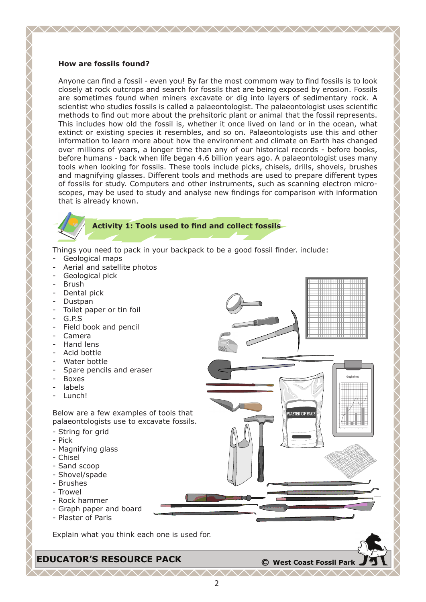#### **How are fossils found?**

Anyone can find a fossil - even you! By far the most commom way to find fossils is to look closely at rock outcrops and search for fossils that are being exposed by erosion. Fossils are sometimes found when miners excavate or dig into layers of sedimentary rock. A scientist who studies fossils is called a palaeontologist. The palaeontologist uses scientific methods to find out more about the prehsitoric plant or animal that the fossil represents. This includes how old the fossil is, whether it once lived on land or in the ocean, what extinct or existing species it resembles, and so on. Palaeontologists use this and other information to learn more about how the environment and climate on Earth has changed over millions of years, a longer time than any of our historical records - before books, before humans - back when life began 4.6 billion years ago. A palaeontologist uses many tools when looking for fossils. These tools include picks, chisels, drills, shovels, brushes and magnifying glasses. Different tools and methods are used to prepare different types of fossils for study. Computers and other instruments, such as scanning electron microscopes, may be used to study and analyse new findings for comparison with information that is already known.

<u> WWW.WWW.WWW.WWW.WWW</u>



#### **Activity 1: Tools used to find and collect fossils**

Things you need to pack in your backpack to be a good fossil finder. include:

- Geological maps
- Aerial and satellite photos
- Geological pick
- Brush
- Dental pick
- Dustpan
- Toilet paper or tin foil
- G.P.S
- Field book and pencil
- Camera
- Hand lens
- Acid bottle
- Water bottle
- Spare pencils and eraser
- Boxes
- labels
- Lunch!

Below are a few examples of tools that palaeontologists use to excavate fossils.

- String for grid
- Pick
- Magnifying glass
- Chisel
- Sand scoop
- Shovel/spade
- Brushes
- Trowel
- Rock hammer
- Graph paper and board
- Plaster of Paris

Explain what you think each one is used for.

**EDUCATOR'S RESOURCE PACK <sup>C</sup> West Coast Fossil Park**

**LASTER OF PA** 

Graph sheet

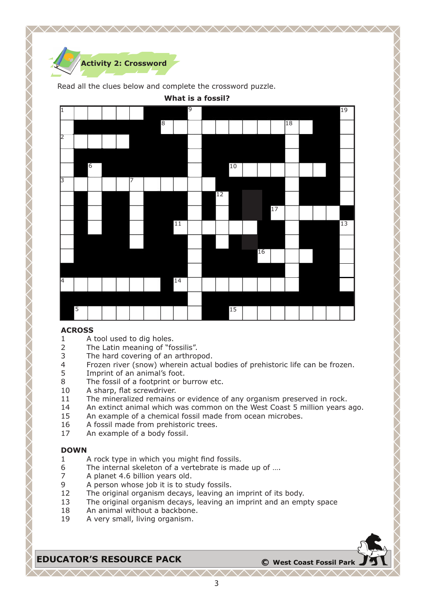

Read all the clues below and complete the crossword puzzle.

**What is a fossil?**



### **ACROSS**

- 1 A tool used to dig holes.<br>2 The Latin meaning of "fo
- 2 The Latin meaning of "fossilis".<br>3 The hard covering of an arthroi
- 3 The hard covering of an arthropod.<br>4 Frozen river (snow) wherein actual
- 4 Frozen river (snow) wherein actual bodies of prehistoric life can be frozen.<br>5 Imprint of an animal's foot.
- 5 Imprint of an animal's foot.<br>8 The fossil of a footprint or b
- 8 The fossil of a footprint or burrow etc.<br>10 A sharp, flat screwdriver.
- A sharp, flat screwdriver.
- 11 The mineralized remains or evidence of any organism preserved in rock.
- 14 An extinct animal which was common on the West Coast 5 million years ago.
- 15 An example of a chemical fossil made from ocean microbes.
- 16 A fossil made from prehistoric trees.
- 17 An example of a body fossil.

### **DOWN**

- 1 A rock type in which you might find fossils.
- 6 The internal skeleton of a vertebrate is made up of ....  $\overline{z}$  A planet 4.6 billion vears old.
- 7 A planet 4.6 billion years old.<br>9 A person whose job it is to sti
- 9 A person whose job it is to study fossils.<br>12 The original organism decays, leaving an
- The original organism decays, leaving an imprint of its body.
- 13 The original organism decays, leaving an imprint and an empty space
- 18 An animal without a backbone.<br>19 A very small, living organism.
- A very small, living organism.

# **EDUCATOR'S RESOURCE PACK**  $\bullet$  **C** West Coast Fossil Park

ヘヘヘヘヘヘヘ